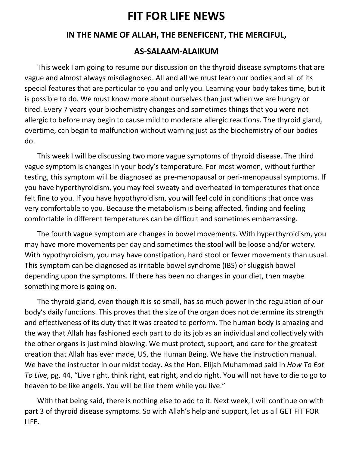# **FIT FOR LIFE NEWS**

# **IN THE NAME OF ALLAH, THE BENEFICENT, THE MERCIFUL,**

## **AS-SALAAM-ALAIKUM**

 This week I am going to resume our discussion on the thyroid disease symptoms that are vague and almost always misdiagnosed. All and all we must learn our bodies and all of its special features that are particular to you and only you. Learning your body takes time, but it is possible to do. We must know more about ourselves than just when we are hungry or tired. Every 7 years your biochemistry changes and sometimes things that you were not allergic to before may begin to cause mild to moderate allergic reactions. The thyroid gland, overtime, can begin to malfunction without warning just as the biochemistry of our bodies do.

 This week I will be discussing two more vague symptoms of thyroid disease. The third vague symptom is changes in your body's temperature. For most women, without further testing, this symptom will be diagnosed as pre-menopausal or peri-menopausal symptoms. If you have hyperthyroidism, you may feel sweaty and overheated in temperatures that once felt fine to you. If you have hypothyroidism, you will feel cold in conditions that once was very comfortable to you. Because the metabolism is being affected, finding and feeling comfortable in different temperatures can be difficult and sometimes embarrassing.

 The fourth vague symptom are changes in bowel movements. With hyperthyroidism, you may have more movements per day and sometimes the stool will be loose and/or watery. With hypothyroidism, you may have constipation, hard stool or fewer movements than usual. This symptom can be diagnosed as irritable bowel syndrome (IBS) or sluggish bowel depending upon the symptoms. If there has been no changes in your diet, then maybe something more is going on.

 The thyroid gland, even though it is so small, has so much power in the regulation of our body's daily functions. This proves that the size of the organ does not determine its strength and effectiveness of its duty that it was created to perform. The human body is amazing and the way that Allah has fashioned each part to do its job as an individual and collectively with the other organs is just mind blowing. We must protect, support, and care for the greatest creation that Allah has ever made, US, the Human Being. We have the instruction manual. We have the instructor in our midst today. As the Hon. Elijah Muhammad said in *How To Eat To Live*, pg. 44, "Live right, think right, eat right, and do right. You will not have to die to go to heaven to be like angels. You will be like them while you live."

 With that being said, there is nothing else to add to it. Next week, I will continue on with part 3 of thyroid disease symptoms. So with Allah's help and support, let us all GET FIT FOR LIFE.